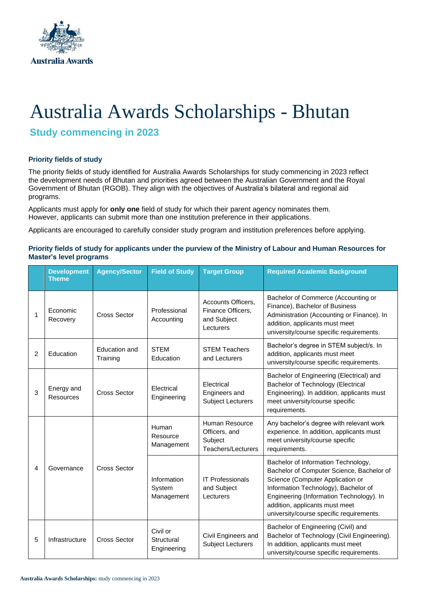

# Australia Awards Scholarships - Bhutan

**Study commencing in 2023**

### **Priority fields of study**

The priority fields of study identified for Australia Awards Scholarships for study commencing in 2023 reflect the development needs of Bhutan and priorities agreed between the Australian Government and the Royal Government of Bhutan (RGOB). They align with the objectives of Australia's bilateral and regional aid programs.

Applicants must apply for **only one** field of study for which their parent agency nominates them. However, applicants can submit more than one institution preference in their applications.

Applicants are encouraged to carefully consider study program and institution preferences before applying.

#### **Priority fields of study for applicants under the purview of the Ministry of Labour and Human Resources for Master's level programs**

|                | <b>Development</b><br><b>Theme</b> | <b>Agency/Sector</b>      | <b>Field of Study</b>                 | <b>Target Group</b>                                                 | <b>Required Academic Background</b>                                                                                                                                                                                                                                                    |
|----------------|------------------------------------|---------------------------|---------------------------------------|---------------------------------------------------------------------|----------------------------------------------------------------------------------------------------------------------------------------------------------------------------------------------------------------------------------------------------------------------------------------|
|                | Economic<br>Recovery               | <b>Cross Sector</b>       | Professional<br>Accounting            | Accounts Officers,<br>Finance Officers,<br>and Subject<br>Lecturers | Bachelor of Commerce (Accounting or<br>Finance), Bachelor of Business<br>Administration (Accounting or Finance). In<br>addition, applicants must meet<br>university/course specific requirements.                                                                                      |
| $\overline{2}$ | Education                          | Education and<br>Training | <b>STEM</b><br>Education              | <b>STEM Teachers</b><br>and Lecturers                               | Bachelor's degree in STEM subject/s. In<br>addition, applicants must meet<br>university/course specific requirements.                                                                                                                                                                  |
| 3              | Energy and<br><b>Resources</b>     | <b>Cross Sector</b>       | Electrical<br>Engineering             | Electrical<br>Engineers and<br><b>Subject Lecturers</b>             | Bachelor of Engineering (Electrical) and<br>Bachelor of Technology (Electrical<br>Engineering). In addition, applicants must<br>meet university/course specific<br>requirements.                                                                                                       |
| 4              | Governance                         | <b>Cross Sector</b>       | Human<br>Resource<br>Management       | Human Resource<br>Officers, and<br>Subject<br>Teachers/Lecturers    | Any bachelor's degree with relevant work<br>experience. In addition, applicants must<br>meet university/course specific<br>requirements.                                                                                                                                               |
|                |                                    |                           | Information<br>System<br>Management   | <b>IT Professionals</b><br>and Subject<br>Lecturers                 | Bachelor of Information Technology,<br>Bachelor of Computer Science, Bachelor of<br>Science (Computer Application or<br>Information Technology), Bachelor of<br>Engineering (Information Technology). In<br>addition, applicants must meet<br>university/course specific requirements. |
| 5              | Infrastructure                     | <b>Cross Sector</b>       | Civil or<br>Structural<br>Engineering | Civil Engineers and<br><b>Subject Lecturers</b>                     | Bachelor of Engineering (Civil) and<br>Bachelor of Technology (Civil Engineering).<br>In addition, applicants must meet<br>university/course specific requirements.                                                                                                                    |